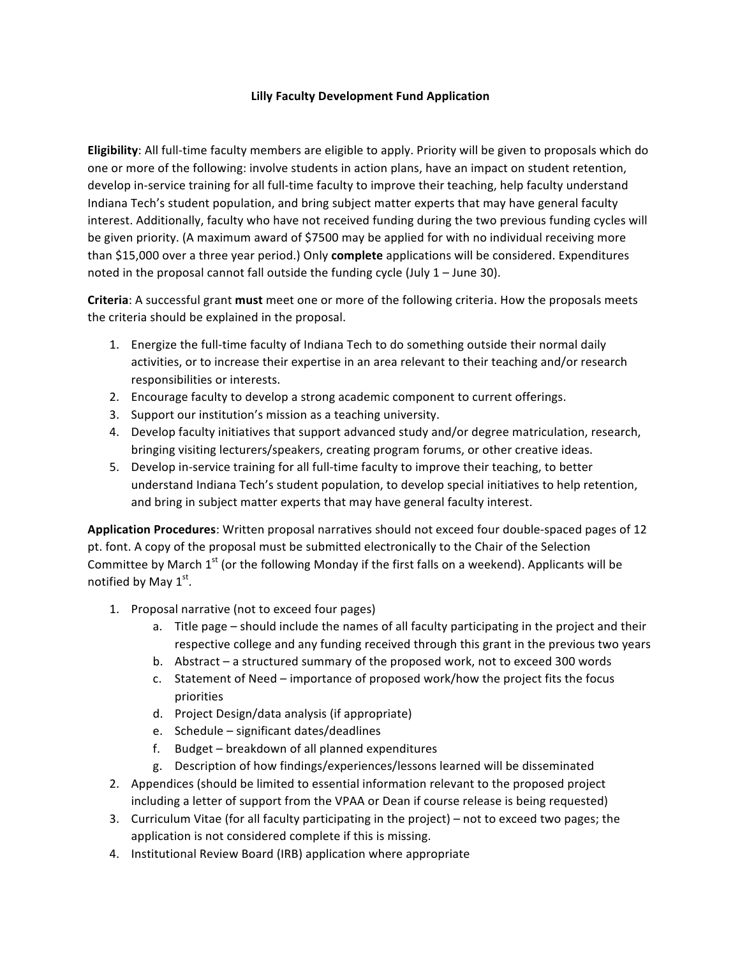## **Lilly Faculty Development Fund Application**

**Eligibility**: All full-time faculty members are eligible to apply. Priority will be given to proposals which do one or more of the following: involve students in action plans, have an impact on student retention, develop in-service training for all full-time faculty to improve their teaching, help faculty understand Indiana Tech's student population, and bring subject matter experts that may have general faculty interest. Additionally, faculty who have not received funding during the two previous funding cycles will be given priority. (A maximum award of \$7500 may be applied for with no individual receiving more than \$15,000 over a three year period.) Only **complete** applications will be considered. Expenditures noted in the proposal cannot fall outside the funding cycle (July  $1 -$  June 30).

**Criteria**: A successful grant **must** meet one or more of the following criteria. How the proposals meets the criteria should be explained in the proposal.

- 1. Energize the full-time faculty of Indiana Tech to do something outside their normal daily activities, or to increase their expertise in an area relevant to their teaching and/or research responsibilities or interests.
- 2. Encourage faculty to develop a strong academic component to current offerings.
- 3. Support our institution's mission as a teaching university.
- 4. Develop faculty initiatives that support advanced study and/or degree matriculation, research, bringing visiting lecturers/speakers, creating program forums, or other creative ideas.
- 5. Develop in-service training for all full-time faculty to improve their teaching, to better understand Indiana Tech's student population, to develop special initiatives to help retention, and bring in subject matter experts that may have general faculty interest.

**Application Procedures**: Written proposal narratives should not exceed four double-spaced pages of 12 pt. font. A copy of the proposal must be submitted electronically to the Chair of the Selection Committee by March  $1^{st}$  (or the following Monday if the first falls on a weekend). Applicants will be notified by May  $1<sup>st</sup>$ .

- 1. Proposal narrative (not to exceed four pages)
	- a. Title page should include the names of all faculty participating in the project and their respective college and any funding received through this grant in the previous two years
	- b. Abstract  $-$  a structured summary of the proposed work, not to exceed 300 words
	- c. Statement of Need importance of proposed work/how the project fits the focus priorities
	- d. Project Design/data analysis (if appropriate)
	- e. Schedule significant dates/deadlines
	- f. Budget breakdown of all planned expenditures
	- g. Description of how findings/experiences/lessons learned will be disseminated
- 2. Appendices (should be limited to essential information relevant to the proposed project including a letter of support from the VPAA or Dean if course release is being requested)
- 3. Curriculum Vitae (for all faculty participating in the project) not to exceed two pages; the application is not considered complete if this is missing.
- 4. Institutional Review Board (IRB) application where appropriate